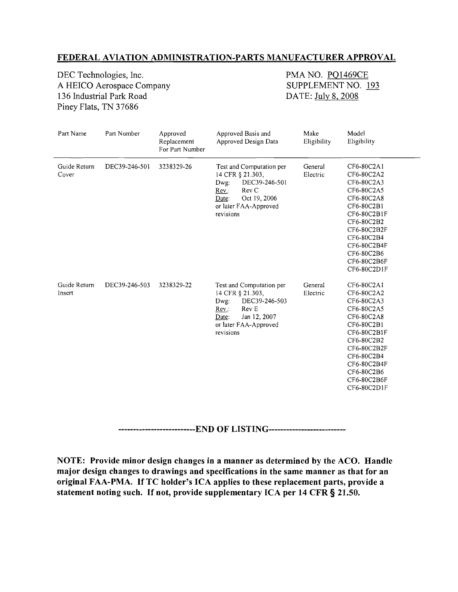## **FEDERAL AVIATION ADMINISTRATION-PARTS MANUFACTURER APPROVAL**

DEC Technologies, Inc.<br>
A HEICO Aerospace Company<br>
SUPPLEMENT NO. 193 A HEICO Aerospace Company 136 Industrial Park Road DATE: July 8, 2008 Piney Flats, TN 37686

| Part Name              | Part Number   | Approved<br>Replacement<br>For Part Number | Approved Basis and<br>Approved Design Data                                                                                                             | Make<br>Eligibility | Model<br>Eligibility                                                                                                                                                                                  |
|------------------------|---------------|--------------------------------------------|--------------------------------------------------------------------------------------------------------------------------------------------------------|---------------------|-------------------------------------------------------------------------------------------------------------------------------------------------------------------------------------------------------|
| Guide Return<br>Cover  | DEC39-246-501 | 3238329-26                                 | Test and Computation per<br>14 CFR § 21.303,<br>DEC39-246-501<br>Dwg:<br>Rev C<br>Rev.:<br>Oct 19, 2006<br>Date:<br>or later FAA-Approved<br>revisions | General<br>Electric | CF6-80C2A1<br>CF6-80C2A2<br>CF6-80C2A3<br>CF6-80C2A5<br>CF6-80C2A8<br>CF6-80C2B1<br>CF6-80C2B1F<br>CF6-80C2B2<br>CF6-80C2B2F<br>CF6-80C2B4<br>CF6-80C2B4F<br>CF6-80C2B6<br>CF6-80C2B6F<br>CF6-80C2D1F |
| Guide Return<br>Insert | DEC39-246-503 | 3238329-22                                 | Test and Computation per<br>14 CFR § 21.303,<br>DEC39-246-503<br>Dwg:<br>Rev E<br>Rev:<br>Jan 12, 2007<br>Date:<br>or later FAA-Approved<br>revisions  | General<br>Electric | CF6-80C2A1<br>CF6-80C2A2<br>CF6-80C2A3<br>CF6-80C2A5<br>CF6-80C2A8<br>CF6-80C2B1<br>CF6-80C2B1F<br>CF6-80C2B2<br>CF6-80C2B2F<br>CF6-80C2B4<br>CF6-80C2B4F<br>CF6-80C2B6<br>CF6-80C2B6F<br>CF6-80C2D1F |

**--------------------------END OF LISTING-------------------------**

**NOTE: Provide minor design changes in a manner as determined by the ACO. Handle major design changes to drawings and specifications in the same manner as that for an original FAA-PMA. IfTC holder's ICA applies to these replacement parts, provide a statement noting such. If not, provide supplementary ICA per 14 CFR § 21.50.**